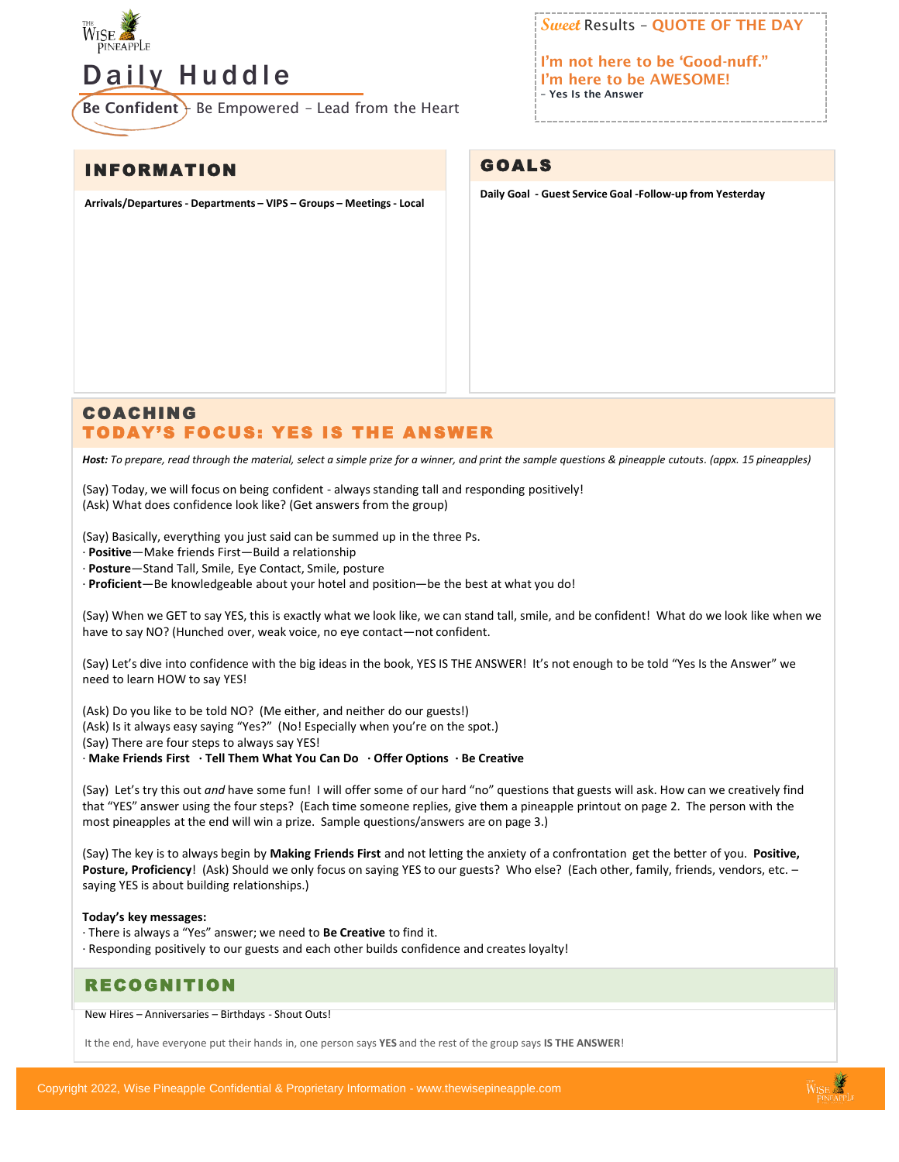

# Daily Huddle

Be Confident } Be Empowered - Lead from the Heart

INFORMATION

**Arrivals/Departures - Departments – VIPS – Groups – Meetings - Local**

**Sweet** Results – QUOTE OF THE DAY

I'm not here to be 'Good-nuff." I'm here to be AWESOME! – Yes Is the Answer

## GOALS

**Daily Goal - Guest Service Goal -Follow-up from Yesterday**

## COACHING TODAY'S FOCUS: YES IS THE ANSWER

*Host: To prepare, read through the material, select a simple prize for a winner, and print the sample questions & pineapple cutouts. (appx. 15 pineapples)*

(Say) Today, we will focus on being confident - always standing tall and responding positively! (Ask) What does confidence look like? (Get answers from the group)

(Say) Basically, everything you just said can be summed up in the three Ps.

· **Positive**—Make friends First—Build a relationship

· **Posture**—Stand Tall, Smile, Eye Contact, Smile, posture

· **Proficient**—Be knowledgeable about your hotel and position—be the best at what you do!

(Say) When we GET to say YES, this is exactly what we look like, we can stand tall, smile, and be confident! What do we look like when we have to say NO? (Hunched over, weak voice, no eye contact—not confident.

(Say) Let's dive into confidence with the big ideas in the book, YES IS THE ANSWER! It's not enough to be told "Yes Is the Answer" we need to learn HOW to say YES!

(Ask) Do you like to be told NO? (Me either, and neither do our guests!)

(Ask) Is it always easy saying "Yes?" (No! Especially when you're on the spot.)

(Say) There are four steps to always say YES!

· **Make Friends First · Tell Them What You Can Do · Offer Options · Be Creative** 

(Say) Let's try this out *and* have some fun! I will offer some of our hard "no" questions that guests will ask. How can we creatively find that "YES" answer using the four steps? (Each time someone replies, give them a pineapple printout on page 2. The person with the most pineapples at the end will win a prize. Sample questions/answers are on page 3.)

(Say) The key is to always begin by **Making Friends First** and not letting the anxiety of a confrontation get the better of you. **Positive, Posture, Proficiency**! (Ask) Should we only focus on saying YES to our guests? Who else? (Each other, family, friends, vendors, etc. – saying YES is about building relationships.)

#### **Today's key messages:**

· There is always a "Yes" answer; we need to **Be Creative** to find it.

· Responding positively to our guests and each other builds confidence and creates loyalty!

### RECOGNITION

New Hires – Anniversaries – Birthdays - Shout Outs!

It the end, have everyone put their hands in, one person says **YES** and the rest of the group says **IS THE ANSWER**!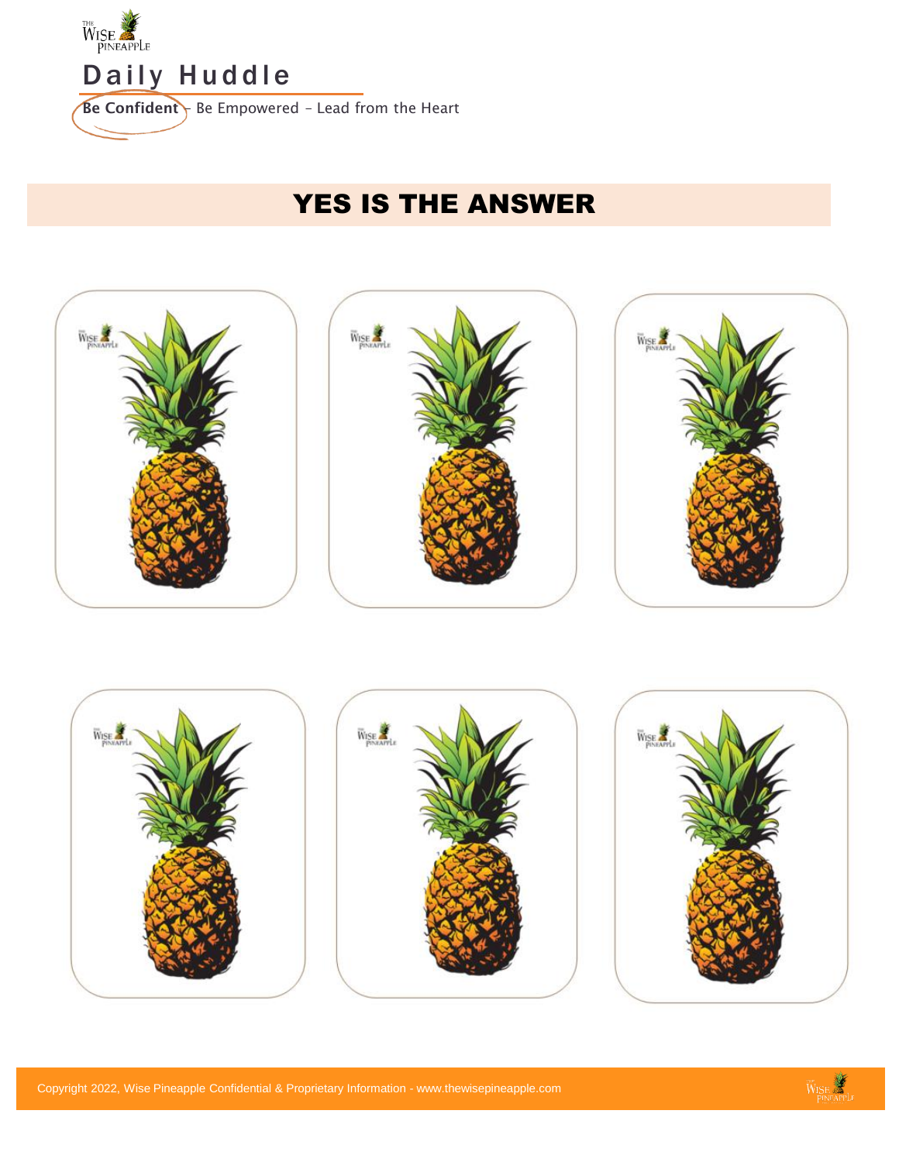

# YES IS THE ANSWER